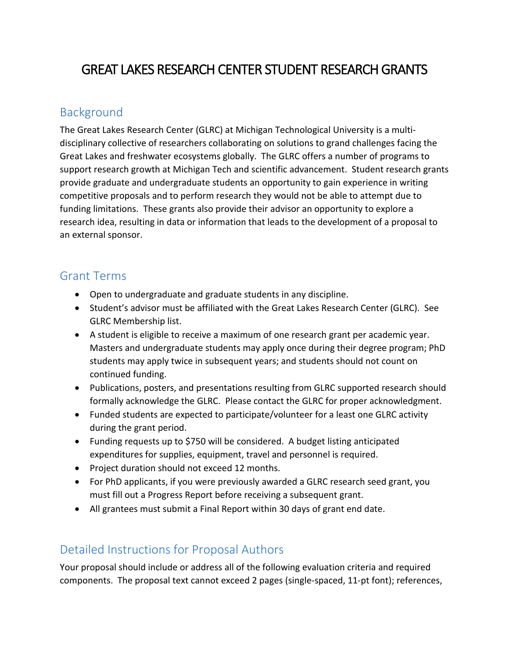# GREAT LAKES RESEARCH CENTER STUDENT RESEARCH GRANTS

## Background

The Great Lakes Research Center (GLRC) at Michigan Technological University is a multidisciplinary collective of researchers collaborating on solutions to grand challenges facing the Great Lakes and freshwater ecosystems globally. The GLRC offers a number of programs to support research growth at Michigan Tech and scientific advancement. Student research grants provide graduate and undergraduate students an opportunity to gain experience in writing competitive proposals and to perform research they would not be able to attempt due to funding limitations. These grants also provide their advisor an opportunity to explore a research idea, resulting in data or information that leads to the development of a proposal to an external sponsor.

### Grant Terms

- Open to undergraduate and graduate students in any discipline.
- Student's advisor must be affiliated with the Great Lakes Research Center (GLRC). See GLRC Membership list.
- A student is eligible to receive a maximum of one research grant per academic year. Masters and undergraduate students may apply once during their degree program; PhD students may apply twice in subsequent years; and students should not count on continued funding.
- Publications, posters, and presentations resulting from GLRC supported research should formally acknowledge the GLRC. Please contact the GLRC for proper acknowledgment.
- Funded students are expected to participate/volunteer for a least one GLRC activity during the grant period.
- Funding requests up to \$750 will be considered. A budget listing anticipated expenditures for supplies, equipment, travel and personnel is required.
- Project duration should not exceed 12 months.
- For PhD applicants, if you were previously awarded a GLRC research seed grant, you must fill out a Progress Report before receiving a subsequent grant.
- All grantees must submit a Final Report within 30 days of grant end date.

## Detailed Instructions for Proposal Authors

Your proposal should include or address all of the following evaluation criteria and required components. The proposal text cannot exceed 2 pages (single-spaced, 11-pt font); references,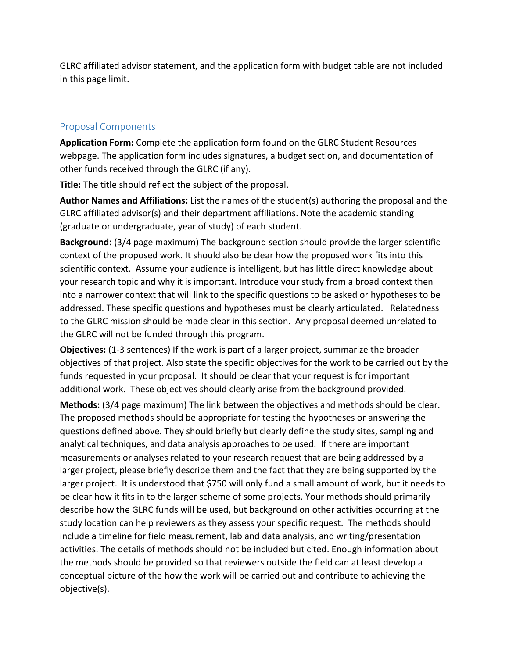GLRC affiliated advisor statement, and the application form with budget table are not included in this page limit.

#### Proposal Components

**Application Form:** Complete the application form found on the GLRC Student Resources webpage. The application form includes signatures, a budget section, and documentation of other funds received through the GLRC (if any).

**Title:** The title should reflect the subject of the proposal.

**Author Names and Affiliations:** List the names of the student(s) authoring the proposal and the GLRC affiliated advisor(s) and their department affiliations. Note the academic standing (graduate or undergraduate, year of study) of each student.

**Background:** (3/4 page maximum) The background section should provide the larger scientific context of the proposed work. It should also be clear how the proposed work fits into this scientific context. Assume your audience is intelligent, but has little direct knowledge about your research topic and why it is important. Introduce your study from a broad context then into a narrower context that will link to the specific questions to be asked or hypotheses to be addressed. These specific questions and hypotheses must be clearly articulated. Relatedness to the GLRC mission should be made clear in this section. Any proposal deemed unrelated to the GLRC will not be funded through this program.

**Objectives:** (1-3 sentences) If the work is part of a larger project, summarize the broader objectives of that project. Also state the specific objectives for the work to be carried out by the funds requested in your proposal. It should be clear that your request is for important additional work. These objectives should clearly arise from the background provided.

**Methods:** (3/4 page maximum) The link between the objectives and methods should be clear. The proposed methods should be appropriate for testing the hypotheses or answering the questions defined above. They should briefly but clearly define the study sites, sampling and analytical techniques, and data analysis approaches to be used. If there are important measurements or analyses related to your research request that are being addressed by a larger project, please briefly describe them and the fact that they are being supported by the larger project. It is understood that \$750 will only fund a small amount of work, but it needs to be clear how it fits in to the larger scheme of some projects. Your methods should primarily describe how the GLRC funds will be used, but background on other activities occurring at the study location can help reviewers as they assess your specific request. The methods should include a timeline for field measurement, lab and data analysis, and writing/presentation activities. The details of methods should not be included but cited. Enough information about the methods should be provided so that reviewers outside the field can at least develop a conceptual picture of the how the work will be carried out and contribute to achieving the objective(s).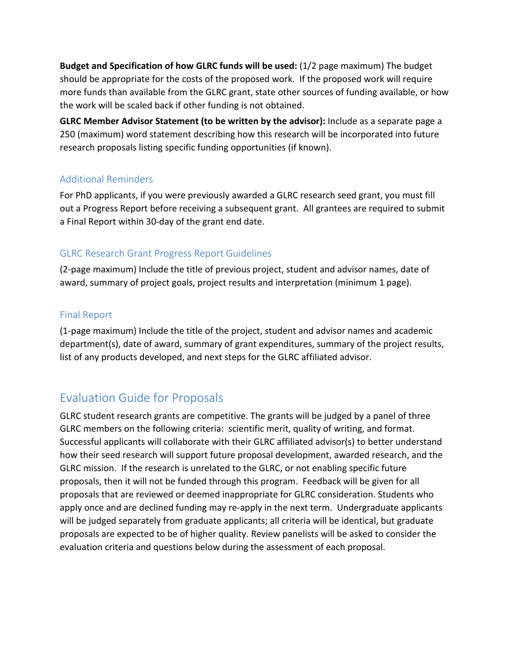**Budget and Specification of how GLRC funds will be used:** (1/2 page maximum) The budget should be appropriate for the costs of the proposed work. If the proposed work will require more funds than available from the GLRC grant, state other sources of funding available, or how the work will be scaled back if other funding is not obtained.

**GLRC Member Advisor Statement (to be written by the advisor):** Include as a separate page a 250 (maximum) word statement describing how this research will be incorporated into future research proposals listing specific funding opportunities (if known).

#### Additional Reminders

For PhD applicants, if you were previously awarded a GLRC research seed grant, you must fill out a Progress Report before receiving a subsequent grant. All grantees are required to submit a Final Report within 30-day of the grant end date.

#### GLRC Research Grant Progress Report Guidelines

(2-page maximum) Include the title of previous project, student and advisor names, date of award, summary of project goals, project results and interpretation (minimum 1 page).

#### Final Report

(1-page maximum) Include the title of the project, student and advisor names and academic department(s), date of award, summary of grant expenditures, summary of the project results, list of any products developed, and next steps for the GLRC affiliated advisor.

## Evaluation Guide for Proposals

GLRC student research grants are competitive. The grants will be judged by a panel of three GLRC members on the following criteria: scientific merit, quality of writing, and format. Successful applicants will collaborate with their GLRC affiliated advisor(s) to better understand how their seed research will support future proposal development, awarded research, and the GLRC mission. If the research is unrelated to the GLRC, or not enabling specific future proposals, then it will not be funded through this program. Feedback will be given for all proposals that are reviewed or deemed inappropriate for GLRC consideration. Students who apply once and are declined funding may re-apply in the next term. Undergraduate applicants will be judged separately from graduate applicants; all criteria will be identical, but graduate proposals are expected to be of higher quality. Review panelists will be asked to consider the evaluation criteria and questions below during the assessment of each proposal.